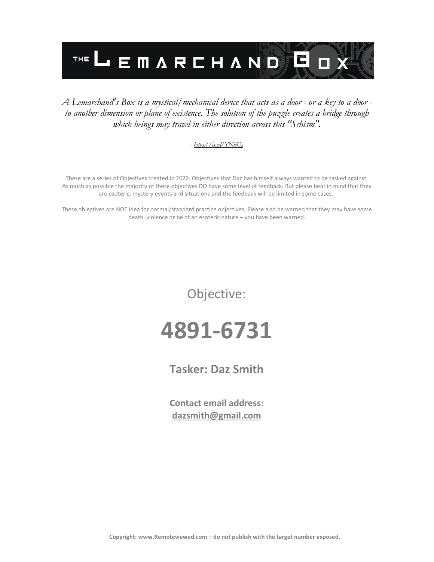

#### *A Lemarchand's Box is a mystical/mechanical device that acts as a door - or a key to a door to another dimension or plane of existence. The solution of the puzzle creates a bridge through which beings may travel in either direction across this "Schism".*

#### *- <https://is.gd/YNleUg>*

These are a series of Objectives created in 2022. Objectives that Daz has himself always wanted to be tasked against. As much as possible the majority of these objectives DO have some level of feedback. But please bear in mind that they are esoteric, mystery events and situations and the feedback will be limited in some cases..

These objectives are NOT idea for normal/standard practice objectives. Please also be warned that they may have some death, violence or be of an esoteric nature – you have been warned.

Objective:

## **4891-6731**

**Tasker: Daz Smith**

**Contact email address: [dazsmith@gmail.com](mailto:dazsmith@gmail.com)**